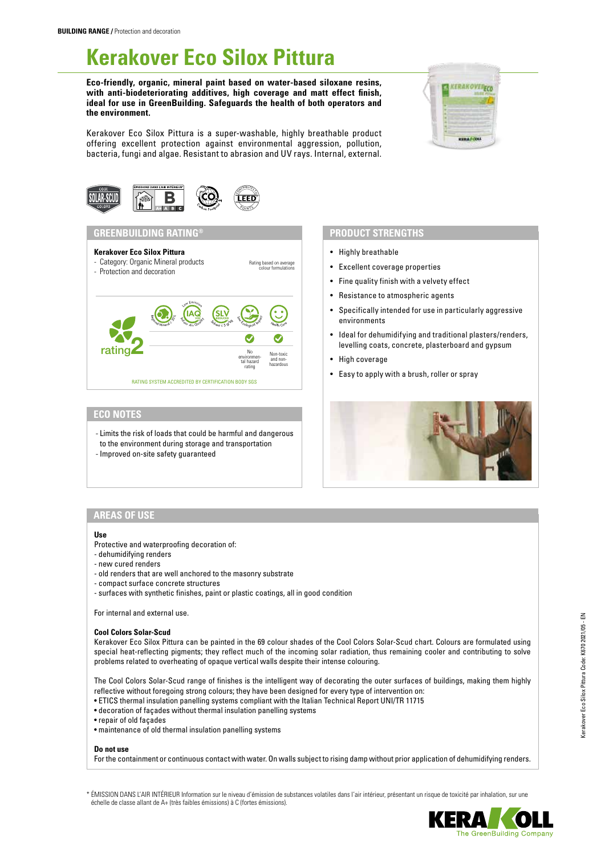# **Kerakover Eco Silox Pittura**

**Eco-friendly, organic, mineral paint based on water-based siloxane resins, with anti-biodeteriorating additives, high coverage and matt effect finish, ideal for use in GreenBuilding. Safeguards the health of both operators and the environment.**

Kerakover Eco Silox Pittura is a super-washable, highly breathable product offering excellent protection against environmental aggression, pollution, bacteria, fungi and algae. Resistant to abrasion and UV rays. Internal, external.

Rating based on average





# **GREENBUILDING RATING® PRODUCT STRENGTHS**

#### **Kerakover Eco Silox Pittura**

- Category: Organic Mineral products
- Protection and decoration



# **ECO NOTES**

- Limits the risk of loads that could be harmful and dangerous to the environment during storage and transportation
- Improved on-site safety guaranteed

- Highly breathable
- Excellent coverage properties
- Fine quality finish with a velvety effect
- Resistance to atmospheric agents
- Specifically intended for use in particularly aggressive environments
- Ideal for dehumidifying and traditional plasters/renders, levelling coats, concrete, plasterboard and gypsum
- High coverage
- Easy to apply with a brush, roller or spray



## **AREAS OF USE**

#### **Use**

- Protective and waterproofing decoration of:
- dehumidifying renders
- new cured renders
- old renders that are well anchored to the masonry substrate
- compact surface concrete structures
- surfaces with synthetic finishes, paint or plastic coatings, all in good condition

For internal and external use.

#### **Cool Colors Solar-Scud**

Kerakover Eco Silox Pittura can be painted in the 69 colour shades of the Cool Colors Solar-Scud chart. Colours are formulated using special heat-reflecting pigments; they reflect much of the incoming solar radiation, thus remaining cooler and contributing to solve problems related to overheating of opaque vertical walls despite their intense colouring.

The Cool Colors Solar-Scud range of finishes is the intelligent way of decorating the outer surfaces of buildings, making them highly reflective without foregoing strong colours; they have been designed for every type of intervention on:

- ETICS thermal insulation panelling systems compliant with the Italian Technical Report UNI/TR 11715
- decoration of façades without thermal insulation panelling systems
- repair of old façades
- maintenance of old thermal insulation panelling systems

# **Do not use**

For the containment or continuous contact with water. On walls subject to rising damp without prior application of dehumidifying renders.

\* ÉMISSION DANS L'AIR INTÉRIEUR Information sur le niveau d'émission de substances volatiles dans l'air intérieur, présentant un risque de toxicité par inhalation, sur une échelle de classe allant de A+ (très faibles émissions) à C (fortes émissions).

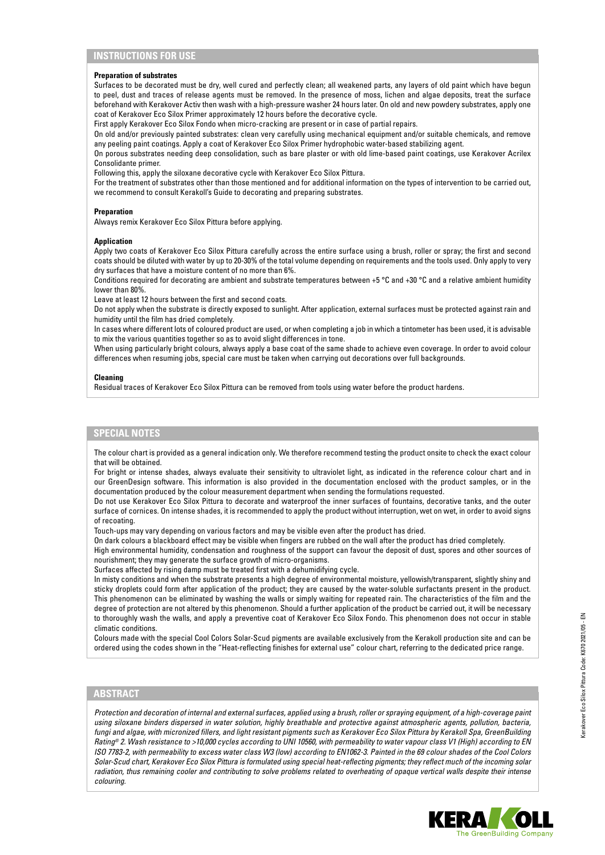# **INSTRUCTIONS FOR USE**

### **Preparation of substrates**

Surfaces to be decorated must be dry, well cured and perfectly clean; all weakened parts, any layers of old paint which have begun to peel, dust and traces of release agents must be removed. In the presence of moss, lichen and algae deposits, treat the surface beforehand with Kerakover Activ then wash with a high-pressure washer 24 hours later. On old and new powdery substrates, apply one coat of Kerakover Eco Silox Primer approximately 12 hours before the decorative cycle.

First apply Kerakover Eco Silox Fondo when micro-cracking are present or in case of partial repairs.

On old and/or previously painted substrates: clean very carefully using mechanical equipment and/or suitable chemicals, and remove any peeling paint coatings. Apply a coat of Kerakover Eco Silox Primer hydrophobic water-based stabilizing agent.

On porous substrates needing deep consolidation, such as bare plaster or with old lime-based paint coatings, use Kerakover Acrilex Consolidante primer.

Following this, apply the siloxane decorative cycle with Kerakover Eco Silox Pittura.

For the treatment of substrates other than those mentioned and for additional information on the types of intervention to be carried out, we recommend to consult Kerakoll's Guide to decorating and preparing substrates.

#### **Preparation**

Always remix Kerakover Eco Silox Pittura before applying.

#### **Application**

Apply two coats of Kerakover Eco Silox Pittura carefully across the entire surface using a brush, roller or spray; the first and second coats should be diluted with water by up to 20-30% of the total volume depending on requirements and the tools used. Only apply to very dry surfaces that have a moisture content of no more than 6%.

Conditions required for decorating are ambient and substrate temperatures between +5 °C and +30 °C and a relative ambient humidity lower than 80%.

Leave at least 12 hours between the first and second coats.

Do not apply when the substrate is directly exposed to sunlight. After application, external surfaces must be protected against rain and humidity until the film has dried completely.

In cases where different lots of coloured product are used, or when completing a job in which a tintometer has been used, it is advisable to mix the various quantities together so as to avoid slight differences in tone.

When using particularly bright colours, always apply a base coat of the same shade to achieve even coverage. In order to avoid colour differences when resuming jobs, special care must be taken when carrying out decorations over full backgrounds.

#### **Cleaning**

Residual traces of Kerakover Eco Silox Pittura can be removed from tools using water before the product hardens.

# **SPECIAL NOTES**

The colour chart is provided as a general indication only. We therefore recommend testing the product onsite to check the exact colour that will be obtained.

For bright or intense shades, always evaluate their sensitivity to ultraviolet light, as indicated in the reference colour chart and in our GreenDesign software. This information is also provided in the documentation enclosed with the product samples, or in the documentation produced by the colour measurement department when sending the formulations requested.

Do not use Kerakover Eco Silox Pittura to decorate and waterproof the inner surfaces of fountains, decorative tanks, and the outer surface of cornices. On intense shades, it is recommended to apply the product without interruption, wet on wet, in order to avoid signs of recoating.

Touch-ups may vary depending on various factors and may be visible even after the product has dried.

On dark colours a blackboard effect may be visible when fingers are rubbed on the wall after the product has dried completely. High environmental humidity, condensation and roughness of the support can favour the deposit of dust, spores and other sources of

nourishment; they may generate the surface growth of micro-organisms.

Surfaces affected by rising damp must be treated first with a dehumidifying cycle.

In misty conditions and when the substrate presents a high degree of environmental moisture, yellowish/transparent, slightly shiny and sticky droplets could form after application of the product; they are caused by the water-soluble surfactants present in the product. This phenomenon can be eliminated by washing the walls or simply waiting for repeated rain. The characteristics of the film and the degree of protection are not altered by this phenomenon. Should a further application of the product be carried out, it will be necessary to thoroughly wash the walls, and apply a preventive coat of Kerakover Eco Silox Fondo. This phenomenon does not occur in stable climatic conditions.

Colours made with the special Cool Colors Solar-Scud pigments are available exclusively from the Kerakoll production site and can be ordered using the codes shown in the "Heat-reflecting finishes for external use" colour chart, referring to the dedicated price range.

# **ABSTRACT**

*Protection and decoration of internal and external surfaces, applied using a brush, roller or spraying equipment, of a high-coverage paint using siloxane binders dispersed in water solution, highly breathable and protective against atmospheric agents, pollution, bacteria, fungi and algae, with micronized fillers, and light resistant pigments such as Kerakover Eco Silox Pittura by Kerakoll Spa, GreenBuilding Rating® 2. Wash resistance to >10,000 cycles according to UNI 10560, with permeability to water vapour class V1 (High) according to EN ISO 7783-2, with permeability to excess water class W3 (low) according to EN1062-3. Painted in the 69 colour shades of the Cool Colors Solar-Scud chart, Kerakover Eco Silox Pittura is formulated using special heat-reflecting pigments; they reflect much of the incoming solar radiation, thus remaining cooler and contributing to solve problems related to overheating of opaque vertical walls despite their intense colouring.*